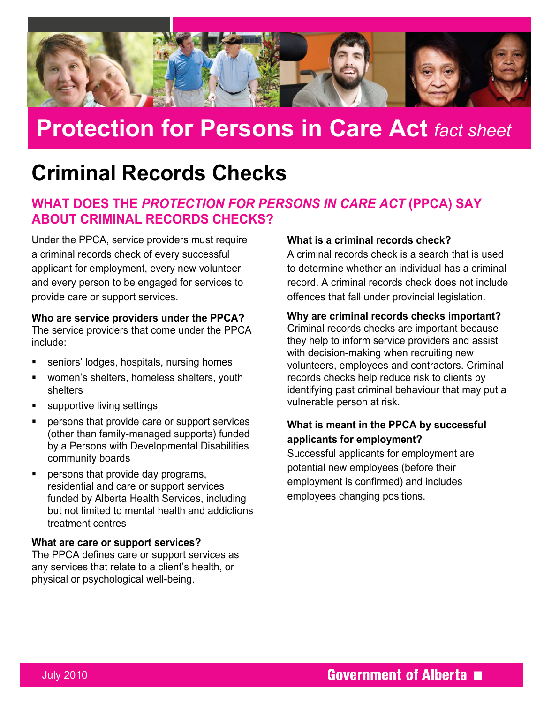

# **Protection for Persons in Care Act** *fact sheet*

## **Criminal Records Checks**

## **WHAT DOES THE** *PROTECTION FOR PERSONS IN CARE ACT* **(PPCA) SAY ABOUT CRIMINAL RECORDS CHECKS?**

Under the PPCA, service providers must require a criminal records check of every successful applicant for employment, every new volunteer and every person to be engaged for services to provide care or support services.

#### **Who are service providers under the PPCA?**

The service providers that come under the PPCA include:

- seniors' lodges, hospitals, nursing homes
- women's shelters, homeless shelters, youth shelters
- supportive living settings
- persons that provide care or support services (other than family-managed supports) funded by a Persons with Developmental Disabilities community boards
- **Persons that provide day programs,** residential and care or support services funded by Alberta Health Services, including but not limited to mental health and addictions treatment centres

#### **What are care or support services?**

The PPCA defines care or support services as any services that relate to a client's health, or physical or psychological well-being.

#### **What is a criminal records check?**

A criminal records check is a search that is used to determine whether an individual has a criminal record. A criminal records check does not include offences that fall under provincial legislation.

#### **Why are criminal records checks important?**

Criminal records checks are important because they help to inform service providers and assist with decision-making when recruiting new volunteers, employees and contractors. Criminal records checks help reduce risk to clients by identifying past criminal behaviour that may put a vulnerable person at risk.

#### **What is meant in the PPCA by successful applicants for employment?**

Successful applicants for employment are potential new employees (before their employment is confirmed) and includes employees changing positions.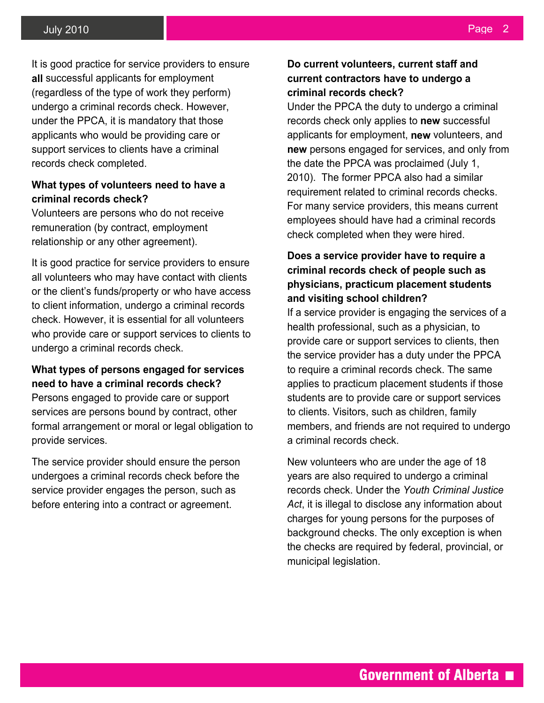It is good practice for service providers to ensure **all** successful applicants for employment (regardless of the type of work they perform) undergo a criminal records check. However, under the PPCA, it is mandatory that those applicants who would be providing care or support services to clients have a criminal records check completed.

#### **What types of volunteers need to have a criminal records check?**

Volunteers are persons who do not receive remuneration (by contract, employment relationship or any other agreement).

It is good practice for service providers to ensure all volunteers who may have contact with clients or the client's funds/property or who have access to client information, undergo a criminal records check. However, it is essential for all volunteers who provide care or support services to clients to undergo a criminal records check.

#### **What types of persons engaged for services need to have a criminal records check?**

Persons engaged to provide care or support services are persons bound by contract, other formal arrangement or moral or legal obligation to provide services.

The service provider should ensure the person undergoes a criminal records check before the service provider engages the person, such as before entering into a contract or agreement.

#### **Do current volunteers, current staff and current contractors have to undergo a criminal records check?**

Under the PPCA the duty to undergo a criminal records check only applies to **new** successful applicants for employment, **new** volunteers, and **new** persons engaged for services, and only from the date the PPCA was proclaimed (July 1, 2010). The former PPCA also had a similar requirement related to criminal records checks. For many service providers, this means current employees should have had a criminal records check completed when they were hired.

#### **Does a service provider have to require a criminal records check of people such as physicians, practicum placement students and visiting school children?**

If a service provider is engaging the services of a health professional, such as a physician, to provide care or support services to clients, then the service provider has a duty under the PPCA to require a criminal records check. The same applies to practicum placement students if those students are to provide care or support services to clients. Visitors, such as children, family members, and friends are not required to undergo a criminal records check.

New volunteers who are under the age of 18 years are also required to undergo a criminal records check. Under the *Youth Criminal Justice Act*, it is illegal to disclose any information about charges for young persons for the purposes of background checks. The only exception is when the checks are required by federal, provincial, or municipal legislation.